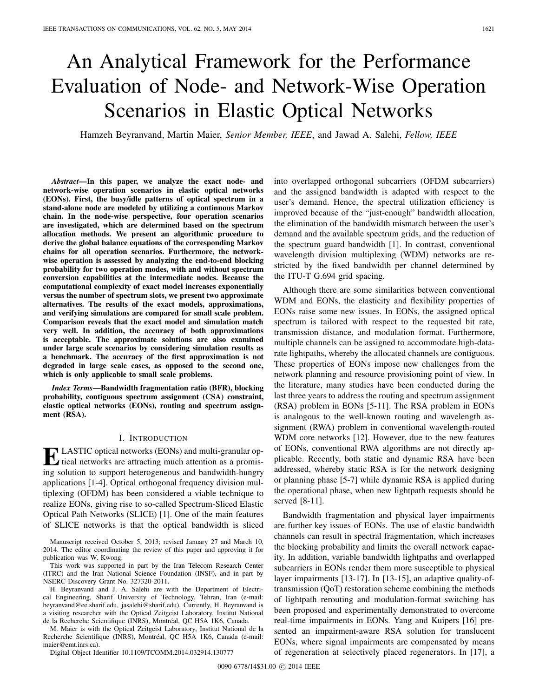# An Analytical Framework for the Performance Evaluation of Node- and Network-Wise Operation Scenarios in Elastic Optical Networks

Hamzeh Beyranvand, Martin Maier, *Senior Member, IEEE*, and Jawad A. Salehi, *Fellow, IEEE*

*Abstract***—In this paper, we analyze the exact node- and network-wise operation scenarios in elastic optical networks (EONs). First, the busy/idle patterns of optical spectrum in a stand-alone node are modeled by utilizing a continuous Markov chain. In the node-wise perspective, four operation scenarios are investigated, which are determined based on the spectrum allocation methods. We present an algorithmic procedure to derive the global balance equations of the corresponding Markov chains for all operation scenarios. Furthermore, the networkwise operation is assessed by analyzing the end-to-end blocking probability for two operation modes, with and without spectrum conversion capabilities at the intermediate nodes. Because the computational complexity of exact model increases exponentially versus the number of spectrum slots, we present two approximate alternatives. The results of the exact models, approximations, and verifying simulations are compared for small scale problem. Comparison reveals that the exact model and simulation match very well. In addition, the accuracy of both approximations is acceptable. The approximate solutions are also examined under large scale scenarios by considering simulation results as a benchmark. The accuracy of the first approximation is not degraded in large scale cases, as opposed to the second one, which is only applicable to small scale problems.**

*Index Terms***—Bandwidth fragmentation ratio (BFR), blocking probability, contiguous spectrum assignment (CSA) constraint, elastic optical networks (EONs), routing and spectrum assignment (RSA).**

## I. INTRODUCTION

**ELASTIC** optical networks (EONs) and multi-granular optical networks are attracting much attention as a promising solution to support heterogeneous and bandwidth-hungry applications [1-4]. Optical orthogonal frequency division multiplexing (OFDM) has been considered a viable technique to realize EONs, giving rise to so-called Spectrum-Sliced Elastic Optical Path Networks (SLICE) [1]. One of the main features of SLICE networks is that the optical bandwidth is sliced

Manuscript received October 5, 2013; revised January 27 and March 10, 2014. The editor coordinating the review of this paper and approving it for publication was W. Kwong.

This work was supported in part by the Iran Telecom Research Center (ITRC) and the Iran National Science Foundation (INSF), and in part by NSERC Discovery Grant No. 327320-2011.

H. Beyranvand and J. A. Salehi are with the Department of Electrical Engineering, Sharif University of Technology, Tehran, Iran (e-mail: beyranvand@ee.sharif.edu, jasalehi@sharif.edu). Currently, H. Beyranvand is a visiting researcher with the Optical Zeitgeist Laboratory, Institut National de la Recherche Scientifique (INRS), Montréal, QC H5A 1K6, Canada.

M. Maier is with the Optical Zeitgeist Laboratory, Institut National de la Recherche Scientifique (INRS), Montréal, QC H5A 1K6, Canada (e-mail: maier@emt.inrs.ca).

Digital Object Identifier 10.1109/TCOMM.2014.032914.130777

into overlapped orthogonal subcarriers (OFDM subcarriers) and the assigned bandwidth is adapted with respect to the user's demand. Hence, the spectral utilization efficiency is improved because of the "just-enough" bandwidth allocation, the elimination of the bandwidth mismatch between the user's demand and the available spectrum grids, and the reduction of the spectrum guard bandwidth [1]. In contrast, conventional wavelength division multiplexing (WDM) networks are restricted by the fixed bandwidth per channel determined by the ITU-T G.694 grid spacing.

Although there are some similarities between conventional WDM and EONs, the elasticity and flexibility properties of EONs raise some new issues. In EONs, the assigned optical spectrum is tailored with respect to the requested bit rate, transmission distance, and modulation format. Furthermore, multiple channels can be assigned to accommodate high-datarate lightpaths, whereby the allocated channels are contiguous. These properties of EONs impose new challenges from the network planning and resource provisioning point of view. In the literature, many studies have been conducted during the last three years to address the routing and spectrum assignment (RSA) problem in EONs [5-11]. The RSA problem in EONs is analogous to the well-known routing and wavelength assignment (RWA) problem in conventional wavelength-routed WDM core networks [12]. However, due to the new features of EONs, conventional RWA algorithms are not directly applicable. Recently, both static and dynamic RSA have been addressed, whereby static RSA is for the network designing or planning phase [5-7] while dynamic RSA is applied during the operational phase, when new lightpath requests should be served [8-11].

Bandwidth fragmentation and physical layer impairments are further key issues of EONs. The use of elastic bandwidth channels can result in spectral fragmentation, which increases the blocking probability and limits the overall network capacity. In addition, variable bandwidth lightpaths and overlapped subcarriers in EONs render them more susceptible to physical layer impairments [13-17]. In [13-15], an adaptive quality-oftransmission (QoT) restoration scheme combining the methods of lightpath rerouting and modulation-format switching has been proposed and experimentally demonstrated to overcome real-time impairments in EONs. Yang and Kuipers [16] presented an impairment-aware RSA solution for translucent EONs, where signal impairments are compensated by means of regeneration at selectively placed regenerators. In [17], a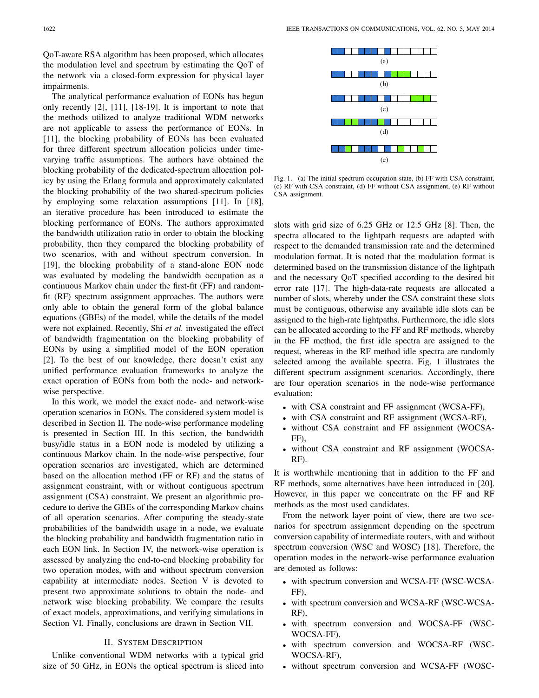QoT-aware RSA algorithm has been proposed, which allocates the modulation level and spectrum by estimating the QoT of the network via a closed-form expression for physical layer impairments.

The analytical performance evaluation of EONs has begun only recently [2], [11], [18-19]. It is important to note that the methods utilized to analyze traditional WDM networks are not applicable to assess the performance of EONs. In [11], the blocking probability of EONs has been evaluated for three different spectrum allocation policies under timevarying traffic assumptions. The authors have obtained the blocking probability of the dedicated-spectrum allocation policy by using the Erlang formula and approximately calculated the blocking probability of the two shared-spectrum policies by employing some relaxation assumptions [11]. In [18], an iterative procedure has been introduced to estimate the blocking performance of EONs. The authors approximated the bandwidth utilization ratio in order to obtain the blocking probability, then they compared the blocking probability of two scenarios, with and without spectrum conversion. In [19], the blocking probability of a stand-alone EON node was evaluated by modeling the bandwidth occupation as a continuous Markov chain under the first-fit (FF) and randomfit (RF) spectrum assignment approaches. The authors were only able to obtain the general form of the global balance equations (GBEs) of the model, while the details of the model were not explained. Recently, Shi *et al.* investigated the effect of bandwidth fragmentation on the blocking probability of EONs by using a simplified model of the EON operation [2]. To the best of our knowledge, there doesn't exist any unified performance evaluation frameworks to analyze the exact operation of EONs from both the node- and networkwise perspective.

In this work, we model the exact node- and network-wise operation scenarios in EONs. The considered system model is described in Section II. The node-wise performance modeling is presented in Section III. In this section, the bandwidth busy/idle status in a EON node is modeled by utilizing a continuous Markov chain. In the node-wise perspective, four operation scenarios are investigated, which are determined based on the allocation method (FF or RF) and the status of assignment constraint, with or without contiguous spectrum assignment (CSA) constraint. We present an algorithmic procedure to derive the GBEs of the corresponding Markov chains of all operation scenarios. After computing the steady-state probabilities of the bandwidth usage in a node, we evaluate the blocking probability and bandwidth fragmentation ratio in each EON link. In Section IV, the network-wise operation is assessed by analyzing the end-to-end blocking probability for two operation modes, with and without spectrum conversion capability at intermediate nodes. Section V is devoted to present two approximate solutions to obtain the node- and network wise blocking probability. We compare the results of exact models, approximations, and verifying simulations in Section VI. Finally, conclusions are drawn in Section VII.

# II. SYSTEM DESCRIPTION

Unlike conventional WDM networks with a typical grid size of 50 GHz, in EONs the optical spectrum is sliced into



Fig. 1. (a) The initial spectrum occupation state, (b) FF with CSA constraint, (c) RF with CSA constraint, (d) FF without CSA assignment, (e) RF without CSA assignment.

slots with grid size of 6.25 GHz or 12.5 GHz [8]. Then, the spectra allocated to the lightpath requests are adapted with respect to the demanded transmission rate and the determined modulation format. It is noted that the modulation format is determined based on the transmission distance of the lightpath and the necessary QoT specified according to the desired bit error rate [17]. The high-data-rate requests are allocated a number of slots, whereby under the CSA constraint these slots must be contiguous, otherwise any available idle slots can be assigned to the high-rate lightpaths. Furthermore, the idle slots can be allocated according to the FF and RF methods, whereby in the FF method, the first idle spectra are assigned to the request, whereas in the RF method idle spectra are randomly selected among the available spectra. Fig. 1 illustrates the different spectrum assignment scenarios. Accordingly, there are four operation scenarios in the node-wise performance evaluation:

- with CSA constraint and FF assignment (WCSA-FF),
- with CSA constraint and RF assignment (WCSA-RF),
- without CSA constraint and FF assignment (WOCSA-FF),
- without CSA constraint and RF assignment (WOCSA-RF).

It is worthwhile mentioning that in addition to the FF and RF methods, some alternatives have been introduced in [20]. However, in this paper we concentrate on the FF and RF methods as the most used candidates.

From the network layer point of view, there are two scenarios for spectrum assignment depending on the spectrum conversion capability of intermediate routers, with and without spectrum conversion (WSC and WOSC) [18]. Therefore, the operation modes in the network-wise performance evaluation are denoted as follows:

- with spectrum conversion and WCSA-FF (WSC-WCSA-FF),
- with spectrum conversion and WCSA-RF (WSC-WCSA-RF),
- with spectrum conversion and WOCSA-FF (WSC-WOCSA-FF),
- with spectrum conversion and WOCSA-RF (WSC-WOCSA-RF),
- without spectrum conversion and WCSA-FF (WOSC-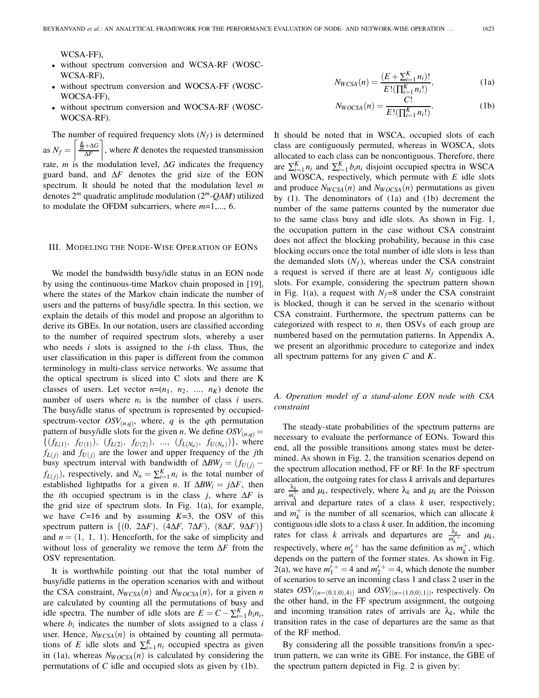WCSA-FF),

- without spectrum conversion and WCSA-RF (WOSC-WCSA-RF),
- without spectrum conversion and WOCSA-FF (WOSC-WOCSA-FF),
- without spectrum conversion and WOCSA-RF (WOSC-WOCSA-RF).

The number of required frequency slots  $(N_f)$  is determined as  $N_f = \left[\frac{\frac{R}{m} + \Delta G}{\Delta F}\right]$  $\left]$ , where *R* denotes the requested transmission rate,  $m$  is the modulation level,  $\Delta G$  indicates the frequency guard band, and Δ*F* denotes the grid size of the EON spectrum. It should be noted that the modulation level *m* denotes 2*<sup>m</sup>* quadratic amplitude modulation (2*m*-*QAM*) utilized to modulate the OFDM subcarriers, where *m*=1,..., 6.

## III. MODELING THE NODE-WISE OPERATION OF EONS

We model the bandwidth busy/idle status in an EON node by using the continuous-time Markov chain proposed in [19], where the states of the Markov chain indicate the number of users and the patterns of busy/idle spectra. In this section, we explain the details of this model and propose an algorithm to derive its GBEs. In our notation, users are classified according to the number of required spectrum slots, whereby a user who needs *i* slots is assigned to the *i*-th class. Thus, the user classification in this paper is different from the common terminology in multi-class service networks. We assume that the optical spectrum is sliced into C slots and there are K classes of users. Let vector  $n=(n_1, n_2, ..., n_K)$  denote the number of users where  $n_i$  is the number of class *i* users. The busy/idle status of spectrum is represented by occupiedspectrum-vector  $OSV_{(n,q)}$ , where, *q* is the *q*th permutation pattern of busy/idle slots for the given *n*. We define  $OSV_{(n,q)} =$  $\{(f_{L(1)}, f_{U(1)}), (f_{L(2)}, f_{U(2)}), \ldots, (f_{L(N_n)}, f_{U(N_n)})\}$ , where  $f_{L(j)}$  and  $f_{U(j)}$  are the lower and upper frequency of the *j*th busy spectrum interval with bandwidth of  $\Delta BW_j = (f_{U(j)})$  –  $f_{L(j)}$ ), respectively, and  $N_n = \sum_{i=1}^{K} n_i$  is the total number of established lightpaths for a given *n*. If  $\Delta BW_i = j\Delta F$ , then the *i*th occupied spectrum is in the class *j*, where  $\Delta F$  is the grid size of spectrum slots. In Fig. 1(a), for example, we have *C*=16 and by assuming *K*=3, the OSV of this spectrum pattern is {(0*,* 2Δ*F*)*,* (4Δ*F,* 7Δ*F*)*,* (8Δ*F,* 9Δ*F*)} and  $n = (1, 1, 1)$ . Henceforth, for the sake of simplicity and without loss of generality we remove the term Δ*F* from the OSV representation.

It is worthwhile pointing out that the total number of busy/idle patterns in the operation scenarios with and without the CSA constraint,  $N_{WCSA}(n)$  and  $N_{WOCSA}(n)$ , for a given *n* are calculated by counting all the permutations of busy and idle spectra. The number of idle slots are  $E = C - \sum_{i=1}^{K} b_i n_i$ , where  $b_i$  indicates the number of slots assigned to a class  $i$ user. Hence,  $N_{WCSA}(n)$  is obtained by counting all permutations of *E* idle slots and  $\sum_{i=1}^{K} n_i$  occupied spectra as given in (1a), whereas  $N_{WOCSA}(n)$  is calculated by considering the permutations of *C* idle and occupied slots as given by (1b).

$$
N_{WCSA}(n) = \frac{(E + \sum_{i=1}^{K} n_i)!}{E!(\prod_{i=1}^{K} n_i!)},
$$
\n(1a)

$$
N_{WOCSA}(n) = \frac{C!}{E!(\prod_{i=1}^{K} n_i!)}. \tag{1b}
$$

It should be noted that in WSCA, occupied slots of each class are contiguously permuted, whereas in WOSCA, slots allocated to each class can be noncontiguous. Therefore, there are  $\sum_{i=1}^{K} n_i$  and  $\sum_{i=1}^{K} b_i n_i$  disjoint occupied spectra in WSCA and WOSCA, respectively, which permute with *E* idle slots and produce  $N_{WCSA}(n)$  and  $N_{WOCSA}(n)$  permutations as given by (1). The denominators of (1a) and (1b) decrement the number of the same patterns counted by the numerator due to the same class busy and idle slots. As shown in Fig. 1, the occupation pattern in the case without CSA constraint does not affect the blocking probability, because in this case blocking occurs once the total number of idle slots is less than the demanded slots  $(N_f)$ , whereas under the CSA constraint a request is served if there are at least  $N_f$  contiguous idle slots. For example, considering the spectrum pattern shown in Fig. 1(a), a request with  $N_f = 8$  under the CSA constraint is blocked, though it can be served in the scenario without CSA constraint. Furthermore, the spectrum patterns can be categorized with respect to *n*, then OSVs of each group are numbered based on the permutation patterns. In Appendix A, we present an algorithmic procedure to categorize and index all spectrum patterns for any given *C* and *K*.

# *A. Operation model of a stand-alone EON node with CSA constraint*

The steady-state probabilities of the spectrum patterns are necessary to evaluate the performance of EONs. Toward this end, all the possible transitions among states must be determined. As shown in Fig. 2, the transition scenarios depend on the spectrum allocation method, FF or RF. In the RF spectrum allocation, the outgoing rates for class *k* arrivals and departures are  $\frac{\lambda_k}{m_k^+}$  and  $\mu_k$ , respectively, where  $\lambda_k$  and  $\mu_k$  are the Poisson arrival and departure rates of a class  $k$  user, respectively; and  $m_k^+$  is the number of all scenarios, which can allocate  $k$ contiguous idle slots to a class *k* user. In addition, the incoming rates for class *k* arrivals and departures are  $\frac{\lambda_k}{m'_k+1}$  and  $\mu_k$ , respectively, where  $m'_{k}$ <sup>+</sup> has the same definition as  $m_{k}$ <sup>+</sup>, which depends on the pattern of the former states. As shown in Fig. 2(a), we have  $m_1'{}^+ = 4$  and  $m_2'{}^+ = 4$ , which denote the number of scenarios to serve an incoming class 1 and class 2 user in the states  $OSV_{((n=(0,1,0),4))}$  and  $OSV_{((n=(1,0,0),1))}$ , respectively. On the other hand, in the FF spectrum assignment, the outgoing and incoming transition rates of arrivals are  $\lambda_k$ , while the transition rates in the case of departures are the same as that of the RF method.

By considering all the possible transitions from/in a spectrum pattern, we can write its GBE. For instance, the GBE of the spectrum pattern depicted in Fig. 2 is given by: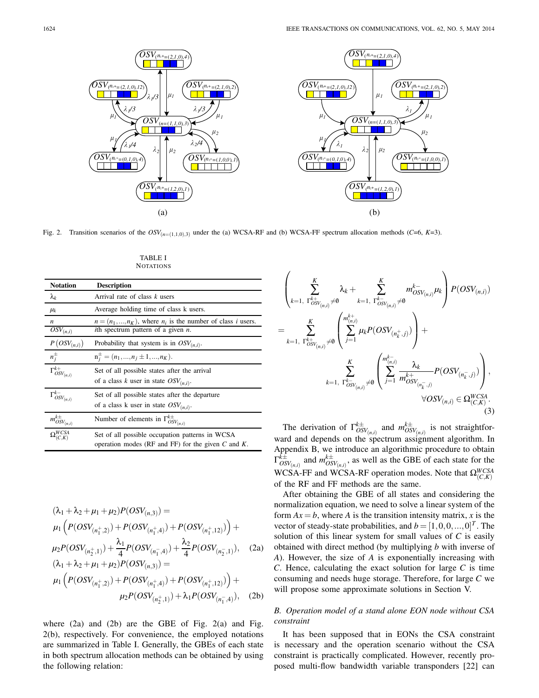

Fig. 2. Transition scenarios of the  $OSV_{(n=(1,1,0),3)}$  under the (a) WCSA-RF and (b) WCSA-FF spectrum allocation methods (*C*=6, *K*=3).

| <b>Notation</b>                              | <b>Description</b>                                                                                                |
|----------------------------------------------|-------------------------------------------------------------------------------------------------------------------|
| $\lambda_k$                                  | Arrival rate of class $k$ users                                                                                   |
| $\mu_k$                                      | Average holding time of class k users.                                                                            |
| $\boldsymbol{n}$<br>$\overline{OSV}_{(n,i)}$ | $n = (n_1, , n_K)$ , where $n_i$ is the number of class i users.<br><i>i</i> th spectrum pattern of a given $n$ . |
| $P\left(OSV_{(n,i)}\right)$                  | Probability that system is in $OSV_{(n,i)}$ .                                                                     |
| $n_i^{\pm}$                                  | $n_j^{\pm} = (n_1, , n_j \pm 1, , n_K).$                                                                          |
| $\Gamma_{OSV_{(n,i)}}^{k+}$                  | Set of all possible states after the arrival<br>of a class k user in state $OSV_{(n,i)}$ .                        |
| $\Gamma^{k-}_{OSV_{(n,i)}}$                  | Set of all possible states after the departure<br>of a class k user in state $OSV_{(n,i)}$ .                      |
| $m_{OSV_{(n,i)}}^{k\pm}$                     | Number of elements in $\Gamma_{OSV_{(n,i)}}^{k\pm}$                                                               |
| $\Omega_{(C,K)}^{WCSA}$                      | Set of all possible occupation patterns in WCSA<br>operation modes (RF and FF) for the given $C$ and $K$ .        |

TABLE I **NOTATIONS** 

$$
(\lambda_1 + \lambda_2 + \mu_1 + \mu_2)P(OSV_{(n,3)}) =
$$
  
\n
$$
\mu_1(P(OSV_{(n_1^+,2)}) + P(OSV_{(n_1^+,4)}) + P(OSV_{(n_1^+,12)}) +
$$
  
\n
$$
\mu_2P(OSV_{(n_2^+,1)}) + \frac{\lambda_1}{4}P(OSV_{(n_1^-,4)}) + \frac{\lambda_2}{4}P(OSV_{(n_2^-,1)}),
$$
 (2a)  
\n
$$
(\lambda_1 + \lambda_2 + \mu_1 + \mu_2)P(OSV_{(n,3)}) =
$$
  
\n
$$
\mu_1(P(OSV_{(n_1^+,2)}) + P(OSV_{(n_1^+,4)}) + P(OSV_{(n_1^+,12)}) +
$$
  
\n
$$
\mu_2P(OSV_{(n_2^+,1)}) + \lambda_1P(OSV_{(n_1^-,4)}),
$$
 (2b)

where  $(2a)$  and  $(2b)$  are the GBE of Fig.  $2(a)$  and Fig. 2(b), respectively. For convenience, the employed notations are summarized in Table I. Generally, the GBEs of each state in both spectrum allocation methods can be obtained by using the following relation:

$$
\left(\sum_{k=1, \Gamma_{OSV_{(n,i)}}^{k+} \neq 0}^{K} \lambda_k + \sum_{k=1, \Gamma_{OSV_{(n,i)}}^{k-} \neq 0}^{K} m_{OSV_{(n,i)}}^{k-} \mu_k\right) P(OSV_{(n,i)})
$$
\n
$$
= \sum_{k=1, \Gamma_{OSV_{(n,i)}}^{k+} \neq 0}^{K} \left(\sum_{j=1}^{m_{(n,i)}^{k+} \neq 0} \mu_k P(OSV_{(n_k^+,j)})\right) + \sum_{k=1, \Gamma_{OSV_{(n,i)}}^{k-} \neq 0}^{K} \left(\sum_{j=1}^{m_{(n,i)}^{k-} \neq 0} \frac{\lambda_k}{m_{OSV_{(n_k^-,j)}}^{k+} P(OSV_{(n_k^-,j)})}\right),
$$
\n
$$
\forall OSV_{(n,i)} \in \Omega_{(C,K)}^{WCSA}.
$$
\n(3)

The derivation of  $\Gamma_{OSV(n,i)}^{k\pm}$  and  $m_{OSV(n,i)}^{k\pm}$  is not straightforward and depends on the spectrum assignment algorithm. In Appendix B, we introduce an algorithmic procedure to obtain  $\Gamma_{OSV_{(n,i)}}^{\overline{k\pm}}$  and  $m_{OSV_{(n,i)}}^{k\pm}$ , as well as the GBE of each state for the WCSA-FF and WCSA-RF operation modes. Note that  $\Omega_{(C,K)}^{WCSA}$ of the RF and FF methods are the same.

After obtaining the GBE of all states and considering the normalization equation, we need to solve a linear system of the form  $Ax = b$ , where *A* is the transition intensity matrix, *x* is the vector of steady-state probabilities, and  $b = [1, 0, 0, ..., 0]^T$ . The solution of this linear system for small values of *C* is easily obtained with direct method (by multiplying *b* with inverse of *A*). However, the size of *A* is exponentially increasing with *C*. Hence, calculating the exact solution for large *C* is time consuming and needs huge storage. Therefore, for large *C* we will propose some approximate solutions in Section V.

# *B. Operation model of a stand alone EON node without CSA constraint*

It has been supposed that in EONs the CSA constraint is necessary and the operation scenario without the CSA constraint is practically complicated. However, recently proposed multi-flow bandwidth variable transponders [22] can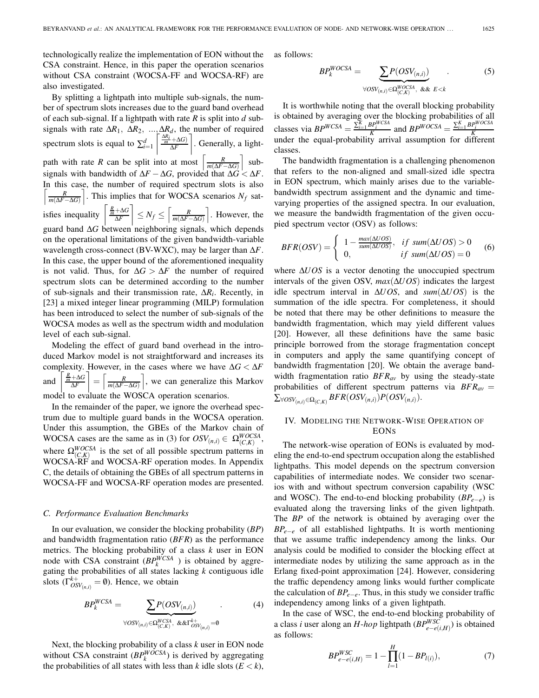technologically realize the implementation of EON without the CSA constraint. Hence, in this paper the operation scenarios without CSA constraint (WOCSA-FF and WOCSA-RF) are also investigated.

By splitting a lightpath into multiple sub-signals, the number of spectrum slots increases due to the guard band overhead of each sub-signal. If a lightpath with rate *R* is split into *d* subsignals with rate  $\Delta R_1$ ,  $\Delta R_2$ , ...,  $\Delta R_d$ , the number of required spectrum slots is equal to  $\sum_{i=1}^{d}$  $\sqrt{\frac{\Delta R_i}{m} + \Delta G}$  . Generally, a lightpath with rate *R* can be split into at most  $\left[\frac{R}{m(\Delta F - \Delta G)}\right]$  subsignals with bandwidth of  $\Delta F - \Delta G$ , provided that  $\Delta G < \Delta F$ . In this case, the number of required spectrum slots is also  $\left\lceil \frac{R}{m(\Delta F - \Delta G)} \right\rceil$ . This implies that for WOCSA scenarios *Nf* satisfies inequality  $\int_{\frac{R}{\Delta F}}^{\frac{R}{m}+\Delta G}$  $\left| \leq N_f \leq \left\lceil \frac{R}{m(\Delta F - \Delta G)} \right\rceil$ . However, the guard band Δ*G* between neighboring signals, which depends on the operational limitations of the given bandwidth-variable wavelength cross-connect (BV-WXC), may be larger than Δ*F*. In this case, the upper bound of the aforementioned inequality is not valid. Thus, for  $\Delta G > \Delta F$  the number of required spectrum slots can be determined according to the number of sub-signals and their transmission rate, Δ*Ri*. Recently, in [23] a mixed integer linear programming (MILP) formulation has been introduced to select the number of sub-signals of the WOCSA modes as well as the spectrum width and modulation level of each sub-signal.

Modeling the effect of guard band overhead in the introduced Markov model is not straightforward and increases its complexity. However, in the cases where we have  $\Delta G < \Delta F$ and  $\frac{R}{m} + \Delta G$   $\Delta F$  $\bar{x} = \left[\frac{R}{m(\Delta F - \Delta G)}\right]$ , we can generalize this Markov model to evaluate the WOSCA operation scenarios.

In the remainder of the paper, we ignore the overhead spectrum due to multiple guard bands in the WOCSA operation. Under this assumption, the GBEs of the Markov chain of WOCSA cases are the same as in (3) for  $OSV_{(n,i)} \in \Omega_{(C,K)}^{WOCSA}$ , where  $\Omega_{(C,K)}^{WOCSA}$  is the set of all possible spectrum patterns in WOCSA-RF and WOCSA-RF operation modes. In Appendix C, the details of obtaining the GBEs of all spectrum patterns in WOCSA-FF and WOCSA-RF operation modes are presented.

#### *C. Performance Evaluation Benchmarks*

In our evaluation, we consider the blocking probability (*BP*) and bandwidth fragmentation ratio (*BFR*) as the performance metrics. The blocking probability of a class *k* user in EON node with CSA constraint  $(BP_k^{WCSA})$  is obtained by aggregating the probabilities of all states lacking *k* contiguous idle slots ( $\Gamma_{OSV_{(n,i)}}^{k+} = \emptyset$ ). Hence, we obtain

$$
BP_k^{WCSA} = \sum_{\forall OSV_{(n,i)} \in \Omega_{(C,K)}^{WCSA}, \ \&\&\Gamma_{OSV_{(n,i)}}^{+} = 0} \tag{4}
$$

Next, the blocking probability of a class *k* user in EON node without CSA constraint  $(BP_k^{WOCSA})$  is derived by aggregating the probabilities of all states with less than  $k$  idle slots  $(E \le k)$ , as follows:

$$
BP_k^{WOCSA} = \underbrace{\sum P(OSV_{(n,i)})}_{\forall OSV_{(n,i)} \in \Omega_{(C,K)}^{WOCSA}}, \&& E < k} \tag{5}
$$

It is worthwhile noting that the overall blocking probability is obtained by averaging over the blocking probabilities of all classes via  $BP^{WCSA} = \frac{\sum_{i=1}^{K} BP_i^{WCSA}}{K}$  and  $BP^{WOCSA} = \frac{\sum_{i=1}^{K} BP_i^{WOCSA}}{K}$ under the equal-probability arrival assumption for different classes.

The bandwidth fragmentation is a challenging phenomenon that refers to the non-aligned and small-sized idle spectra in EON spectrum, which mainly arises due to the variablebandwidth spectrum assignment and the dynamic and timevarying properties of the assigned spectra. In our evaluation, we measure the bandwidth fragmentation of the given occupied spectrum vector (OSV) as follows:

$$
BFR(OSV) = \begin{cases} 1 - \frac{max(\Delta UOS)}{sum(\Delta UOS)}, & if \ sum(\Delta UOS) > 0\\ 0, & if \ sum(\Delta UOS) = 0 \end{cases}
$$
(6)

where Δ*UOS* is a vector denoting the unoccupied spectrum intervals of the given OSV, *max*(Δ*UOS*) indicates the largest idle spectrum interval in Δ*UOS*, and *sum*(Δ*UOS*) is the summation of the idle spectra. For completeness, it should be noted that there may be other definitions to measure the bandwidth fragmentation, which may yield different values [20]. However, all these definitions have the same basic principle borrowed from the storage fragmentation concept in computers and apply the same quantifying concept of bandwidth fragmentation [20]. We obtain the average bandwidth fragmentation ratio *BFRav* by using the steady-state probabilities of different spectrum patterns via *BFRav* =  $\sum_{\forall OSV(n,i)} \sum_{C \subseteq K} BFR(OSV(n,i))P(OSV(n,i)).$ 

# IV. MODELING THE NETWORK-WISE OPERATION OF EONS

The network-wise operation of EONs is evaluated by modeling the end-to-end spectrum occupation along the established lightpaths. This model depends on the spectrum conversion capabilities of intermediate nodes. We consider two scenarios with and without spectrum conversion capability (WSC and WOSC). The end-to-end blocking probability  $(BP_{e-e})$  is evaluated along the traversing links of the given lightpath. The *BP* of the network is obtained by averaging over the *BP<sub>e−e</sub>* of all established lightpaths. It is worth mentioning that we assume traffic independency among the links. Our analysis could be modified to consider the blocking effect at intermediate nodes by utilizing the same approach as in the Erlang fixed-point approximation [24]. However, considering the traffic dependency among links would further complicate the calculation of *BPe*−*e*. Thus, in this study we consider traffic independency among links of a given lightpath.

In the case of WSC, the end-to-end blocking probability of a class *i* user along an *H*-*hop* lightpath (*BPWSC e*−*e*(*i,H*) ) is obtained as follows:

$$
BP_{e-e(i,H)}^{WSC} = 1 - \prod_{l=1}^{H} (1 - BP_{l(i)}),
$$
 (7)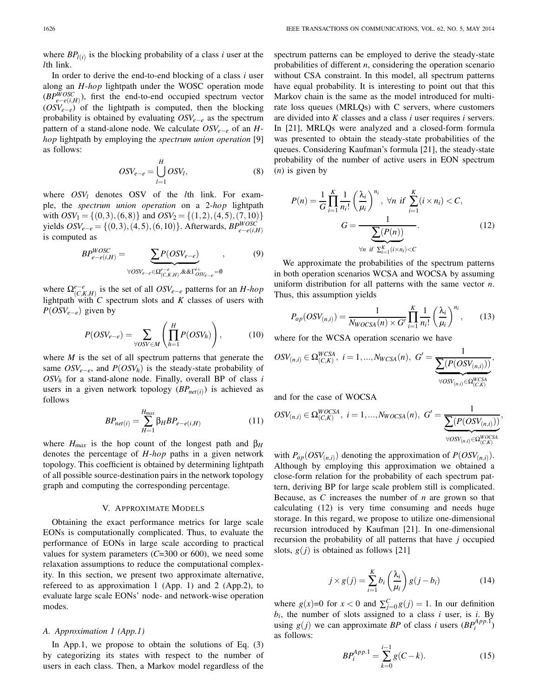where  $BP_{l(i)}$  is the blocking probability of a class *i* user at the *l*th link.

In order to derive the end-to-end blocking of a class *i* user along an *H*-*hop* lightpath under the WOSC operation mode  $(BP_{e-e(i,H)}^{WOSC})$ , first the end-to-end occupied spectrum vector (*OSV<sub>e−e</sub>*) of the lightpath is computed, then the blocking probability is obtained by evaluating *OSVe*−*<sup>e</sup>* as the spectrum pattern of a stand-alone node. We calculate *OSVe*−*<sup>e</sup>* of an *Hhop* lightpath by employing the *spectrum union operation* [9] as follows:

$$
OSV_{e-e} = \bigcup_{l=1}^{H} OSV_l,
$$
\n(8)

where  $OSV_1$  denotes OSV of the *l*th link. For example, the *spectrum union operation* on a 2-*hop* lightpath with  $OSV_1 = \{(0,3), (6,8)\}\$  and  $OSV_2 = \{(1,2), (4,5), (7,10)\}\$ yields *OSVe*−*<sup>e</sup>* = {(0*,*3)*,*(4*,*5)*,*(6*,*10)}. Afterwards, *BPWOSC e*−*e*(*i,H*) is computed as

$$
BP_{e-e(i,H)}^{WOSC} = \underbrace{\sum P(OSV_{e-e})}_{\forall OSV_{e-e} \in \Omega_{(C,K,H)}^{e-e}, \& \& \Gamma_{OSV_{e-e}}^{i+}} \tag{9}
$$

where  $\Omega_{(C,K,H)}^{e-e}$  is the set of all  $OSV_{e-e}$  patterns for an *H-hop* lightpath with *C* spectrum slots and *K* classes of users with *P*(*OSV<sub>e−e</sub>*) given by

$$
P(OSV_{e-e}) = \sum_{\forall OSV \in M} \left( \prod_{h=1}^{H} P(OSV_h) \right), \tag{10}
$$

where *M* is the set of all spectrum patterns that generate the same *OSV<sub>e−e</sub>*, and *P*(*OSV<sub>h</sub>*) is the steady-state probability of *OSVh* for a stand-alone node. Finally, overall BP of class *i* users in a given network topology  $(BP_{net(i)})$  is achieved as follows

$$
BP_{net(i)} = \sum_{H=1}^{H_{max}} \beta_H BP_{e-e(i,H)}
$$
(11)

where  $H_{max}$  is the hop count of the longest path and  $\beta_H$ denotes the percentage of *H*-*hop* paths in a given network topology. This coefficient is obtained by determining lightpath of all possible source-destination pairs in the network topology graph and computing the corresponding percentage.

#### V. APPROXIMATE MODELS

Obtaining the exact performance metrics for large scale EONs is computationally complicated. Thus, to evaluate the performance of EONs in large scale according to practical values for system parameters (*C*=300 or 600), we need some relaxation assumptions to reduce the computational complexity. In this section, we present two approximate alternative, refereed to as approximation 1 (App. 1) and 2 (App.2), to evaluate large scale EONs' node- and network-wise operation modes.

### *A. Approximation 1 (App.1)*

In App.1, we propose to obtain the solutions of Eq.  $(3)$ by categorizing its states with respect to the number of users in each class. Then, a Markov model regardless of the spectrum patterns can be employed to derive the steady-state probabilities of different *n*, considering the operation scenario without CSA constraint. In this model, all spectrum patterns have equal probability. It is interesting to point out that this Markov chain is the same as the model introduced for multirate loss queues (MRLQs) with C servers, where customers are divided into *K* classes and a class *i* user requires *i* servers. In [21], MRLQs were analyzed and a closed-form formula was presented to obtain the steady-state probabilities of the queues. Considering Kaufman's formula [21], the steady-state probability of the number of active users in EON spectrum (*n*) is given by

$$
P(n) = \frac{1}{G} \prod_{i=1}^{K} \frac{1}{n_i!} \left(\frac{\lambda_i}{\mu_i}\right)^{n_i}, \forall n \text{ if } \sum_{i=1}^{K} (i \times n_i) < C,
$$
\n
$$
G = \frac{1}{\sum_{\forall n \text{ if } \sum_{i=1}^{K} (i \times n_i) < C}}.
$$
\n
$$
(12)
$$

We approximate the probabilities of the spectrum patterns in both operation scenarios WCSA and WOCSA by assuming uniform distribution for all patterns with the same vector *n*. Thus, this assumption yields

$$
P_{ap}(OSV_{(n,i)}) = \frac{1}{N_{WOCSA}(n) \times G'} \prod_{i=1}^{K} \frac{1}{n_i!} \left(\frac{\lambda_i}{\mu_i}\right)^{n_i},\qquad(13)
$$

where for the WCSA operation scenario we have

$$
OSV_{(n,i)} \in \Omega_{(C,K)}^{WCSA}, \ i = 1, ..., N_{WCSA}(n), \ G' = \frac{1}{\sum_{\forall OSV_{(n,i)} \in \Omega_{(C,K)}^{WCSA}}},
$$

and for the case of WOCSA

$$
OSV_{(n,i)} \in \Omega_{(C,K)}^{WOCSA}, \ i = 1,...,N_{WOCSA}(n), \ G' = \frac{1}{\sum_{\forall OSV_{(n,i)} \in \Omega_{(C,K)}^{WOCSA}}}
$$

*,*

with  $P_{ap}(OSV_{(n,i)})$  denoting the approximation of  $P(OSV_{(n,i)})$ . Although by employing this approximation we obtained a close-form relation for the probability of each spectrum pattern, deriving BP for large scale problem still is complicated. Because, as *C* increases the number of *n* are grown so that calculating (12) is very time consuming and needs huge storage. In this regard, we propose to utilize one-dimensional recursion introduced by Kaufman [21]. In one-dimensional recursion the probability of all patterns that have *j* occupied slots,  $g(j)$  is obtained as follows [21]

$$
j \times g(j) = \sum_{i=1}^{K} b_i \left(\frac{\lambda_i}{\mu_i}\right) g(j - b_i)
$$
 (14)

where  $g(x)=0$  for  $x < 0$  and  $\sum_{j=0}^{C} g(j) = 1$ . In our definition  $b_i$ , the number of slots assigned to a class  $i$  user, is  $i$ . By using  $g(j)$  we can approximate *BP* of class *i* users  $(BP_i^{App.1})$ as follows:

$$
BP_i^{App.1} = \sum_{k=0}^{i-1} g(C-k).
$$
 (15)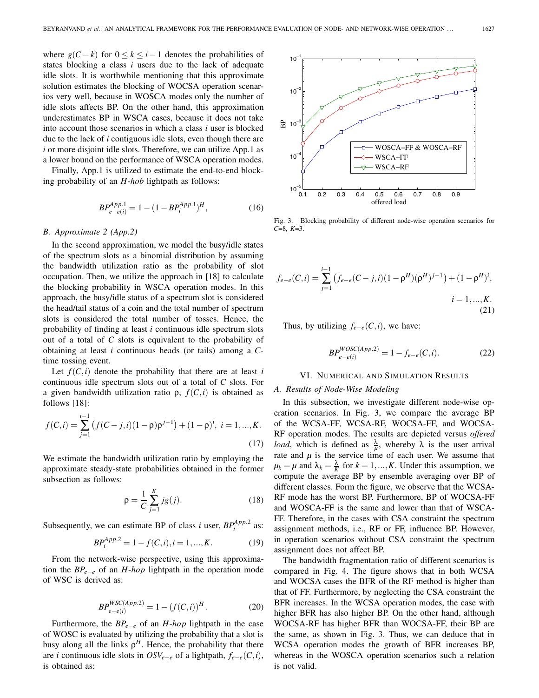where  $g(C−k)$  for  $0 ≤ k ≤ i-1$  denotes the probabilities of states blocking a class *i* users due to the lack of adequate idle slots. It is worthwhile mentioning that this approximate solution estimates the blocking of WOCSA operation scenarios very well, because in WOSCA modes only the number of idle slots affects BP. On the other hand, this approximation underestimates BP in WSCA cases, because it does not take into account those scenarios in which a class *i* user is blocked due to the lack of *i* contiguous idle slots, even though there are *i* or more disjoint idle slots. Therefore, we can utilize App.1 as a lower bound on the performance of WSCA operation modes.

Finally, App.1 is utilized to estimate the end-to-end blocking probability of an *H*-*hob* lightpath as follows:

$$
BP_{e-e(i)}^{App.1} = 1 - (1 - BP_i^{App.1})^H,
$$
\n(16)

#### *B. Approximate 2 (App.2)*

In the second approximation, we model the busy/idle states of the spectrum slots as a binomial distribution by assuming the bandwidth utilization ratio as the probability of slot occupation. Then, we utilize the approach in [18] to calculate the blocking probability in WSCA operation modes. In this approach, the busy/idle status of a spectrum slot is considered the head/tail status of a coin and the total number of spectrum slots is considered the total number of tosses. Hence, the probability of finding at least *i* continuous idle spectrum slots out of a total of *C* slots is equivalent to the probability of obtaining at least *i* continuous heads (or tails) among a *C*time tossing event.

Let  $f(C, i)$  denote the probability that there are at least *i* continuous idle spectrum slots out of a total of *C* slots. For a given bandwidth utilization ratio ρ, *f*(*C,i*) is obtained as follows [18]:

$$
f(C,i) = \sum_{j=1}^{i-1} \left( f(C-j,i)(1-\rho)\rho^{j-1} \right) + (1-\rho)^i, \ i = 1,...,K.
$$
\n(17)

We estimate the bandwidth utilization ratio by employing the approximate steady-state probabilities obtained in the former subsection as follows:

$$
\rho = \frac{1}{C} \sum_{j=1}^{K} jg(j).
$$
 (18)

Subsequently, we can estimate BP of class *i* user,  $BP_i^{App.2}$  as:

$$
BP_i^{App.2} = 1 - f(C, i), i = 1, ..., K.
$$
 (19)

From the network-wise perspective, using this approximation the *BPe*−*<sup>e</sup>* of an *H*-*hop* lightpath in the operation mode of WSC is derived as:

$$
BP_{e-e(i)}^{WSC(App.2)} = 1 - (f(C,i))^H.
$$
 (20)

Furthermore, the *BPe*−*<sup>e</sup>* of an *H*-*hop* lightpath in the case of WOSC is evaluated by utilizing the probability that a slot is busy along all the links  $\rho^H$ . Hence, the probability that there are *i* continuous idle slots in  $OSV_{e-e}$  of a lightpath,  $f_{e-e}(C, i)$ , is obtained as:



Fig. 3. Blocking probability of different node-wise operation scenarios for *C*=8, *K*=3.

$$
f_{e-e}(C,i) = \sum_{j=1}^{i-1} (f_{e-e}(C-j,i)(1-\rho^H)(\rho^H)^{j-1}) + (1-\rho^H)^i,
$$
  
\n
$$
i = 1,...,K.
$$
\n(21)

Thus, by utilizing  $f_{e-e}(C, i)$ , we have:

$$
BP_{e-e(i)}^{WOSC(App.2)} = 1 - f_{e-e}(C, i). \tag{22}
$$

## VI. NUMERICAL AND SIMULATION RESULTS

## *A. Results of Node-Wise Modeling*

In this subsection, we investigate different node-wise operation scenarios. In Fig. 3, we compare the average BP of the WCSA-FF, WCSA-RF, WOCSA-FF, and WOCSA-RF operation modes. The results are depicted versus *offered load*, which is defined as  $\frac{\lambda}{\mu}$ , whereby  $\lambda$  is the user arrival rate and  $\mu$  is the service time of each user. We assume that  $\mu_k = \mu$  and  $\lambda_k = \frac{\lambda}{K}$  for  $k = 1, ..., K$ . Under this assumption, we compute the average BP by ensemble averaging over BP of different classes. Form the figure, we observe that the WCSA-RF mode has the worst BP. Furthermore, BP of WOCSA-FF and WOSCA-FF is the same and lower than that of WSCA-FF. Therefore, in the cases with CSA constraint the spectrum assignment methods, i.e., RF or FF, influence BP. However, in operation scenarios without CSA constraint the spectrum assignment does not affect BP.

The bandwidth fragmentation ratio of different scenarios is compared in Fig. 4. The figure shows that in both WCSA and WOCSA cases the BFR of the RF method is higher than that of FF. Furthermore, by neglecting the CSA constraint the BFR increases. In the WCSA operation modes, the case with higher BFR has also higher BP. On the other hand, although WOCSA-RF has higher BFR than WOCSA-FF, their BP are the same, as shown in Fig. 3. Thus, we can deduce that in WCSA operation modes the growth of BFR increases BP, whereas in the WOSCA operation scenarios such a relation is not valid.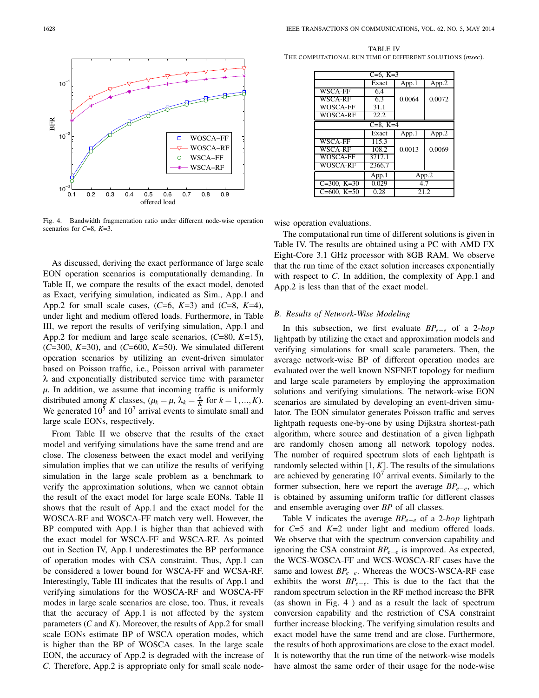

Fig. 4. Bandwidth fragmentation ratio under different node-wise operation scenarios for *C*=8, *K*=3.

As discussed, deriving the exact performance of large scale EON operation scenarios is computationally demanding. In Table II, we compare the results of the exact model, denoted as Exact, verifying simulation, indicated as Sim., App.1 and App.2 for small scale cases,  $(C=6, K=3)$  and  $(C=8, K=4)$ , under light and medium offered loads. Furthermore, in Table III, we report the results of verifying simulation, App.1 and App.2 for medium and large scale scenarios, (*C*=80, *K*=15), (*C*=300, *K*=30), and (*C*=600, *K*=50). We simulated different operation scenarios by utilizing an event-driven simulator based on Poisson traffic, i.e., Poisson arrival with parameter  $\lambda$  and exponentially distributed service time with parameter  $\mu$ . In addition, we assume that incoming traffic is uniformly distributed among *K* classes,  $(\mu_k = \mu, \lambda_k = \frac{\lambda}{K}$  for  $k = 1, ..., K$ ). We generated  $10<sup>5</sup>$  and  $10<sup>7</sup>$  arrival events to simulate small and large scale EONs, respectively.

From Table II we observe that the results of the exact model and verifying simulations have the same trend and are close. The closeness between the exact model and verifying simulation implies that we can utilize the results of verifying simulation in the large scale problem as a benchmark to verify the approximation solutions, when we cannot obtain the result of the exact model for large scale EONs. Table II shows that the result of App.1 and the exact model for the WOSCA-RF and WOSCA-FF match very well. However, the BP computed with App.1 is higher than that achieved with the exact model for WSCA-FF and WSCA-RF. As pointed out in Section IV, App.1 underestimates the BP performance of operation modes with CSA constraint. Thus, App.1 can be considered a lower bound for WSCA-FF and WCSA-RF. Interestingly, Table III indicates that the results of App.1 and verifying simulations for the WOSCA-RF and WOSCA-FF modes in large scale scenarios are close, too. Thus, it reveals that the accuracy of App.1 is not affected by the system parameters (*C* and *K*). Moreover, the results of App.2 for small scale EONs estimate BP of WSCA operation modes, which is higher than the BP of WOSCA cases. In the large scale EON, the accuracy of App.2 is degraded with the increase of *C*. Therefore, App.2 is appropriate only for small scale node-

TABLE IV THE COMPUTATIONAL RUN TIME OF DIFFERENT SOLUTIONS (*msec*).

|                | $C=6$ , $K=3$ |        |        |  |  |
|----------------|---------------|--------|--------|--|--|
|                | Exact         | App.1  | App.2  |  |  |
| WSCA-FF        | 6.4           |        |        |  |  |
| WSCA-RF        | 6.3           | 0.0064 | 0.0072 |  |  |
| WOSCA-FF       | 31.1          |        |        |  |  |
| WOSCA-RF       | 22.2          |        |        |  |  |
| $C=8$ , $K=4$  |               |        |        |  |  |
|                | Exact         | App.1  | App.2  |  |  |
| <b>WSCA-FF</b> | 115.3         |        |        |  |  |
| WSCA-RF        | 108.2         | 0.0013 | 0.0069 |  |  |
| WOSCA-FF       | 3717.1        |        |        |  |  |
| WOSCA-RF       | 2366.7        |        |        |  |  |
|                | App.1         |        | App.2  |  |  |
| $C=300, K=30$  | 0.029         | 4.7    |        |  |  |
| $C=600, K=50$  | 0.28          | 21.2   |        |  |  |

wise operation evaluations.

The computational run time of different solutions is given in Table IV. The results are obtained using a PC with AMD FX Eight-Core 3.1 GHz processor with 8GB RAM. We observe that the run time of the exact solution increases exponentially with respect to *C*. In addition, the complexity of App.1 and App.2 is less than that of the exact model.

## *B. Results of Network-Wise Modeling*

In this subsection, we first evaluate *BPe*−*<sup>e</sup>* of a 2-*hop* lightpath by utilizing the exact and approximation models and verifying simulations for small scale parameters. Then, the average network-wise BP of different operation modes are evaluated over the well known NSFNET topology for medium and large scale parameters by employing the approximation solutions and verifying simulations. The network-wise EON scenarios are simulated by developing an event-driven simulator. The EON simulator generates Poisson traffic and serves lightpath requests one-by-one by using Dijkstra shortest-path algorithm, where source and destination of a given lighpath are randomly chosen among all network topology nodes. The number of required spectrum slots of each lightpath is randomly selected within  $[1, K]$ . The results of the simulations are achieved by generating  $10<sup>7</sup>$  arrival events. Similarly to the former subsection, here we report the average *BP*<sub>*e−e*</sub>, which is obtained by assuming uniform traffic for different classes and ensemble averaging over *BP* of all classes.

Table V indicates the average *BPe*−*<sup>e</sup>* of a 2-*hop* lightpath for *C*=5 and *K*=2 under light and medium offered loads. We observe that with the spectrum conversion capability and ignoring the CSA constraint *BPe*−*<sup>e</sup>* is improved. As expected, the WCS-WOSCA-FF and WCS-WOSCA-RF cases have the same and lowest *BPe*−*e*. Whereas the WOCS-WSCA-RF case exhibits the worst *BPe*−*e*. This is due to the fact that the random spectrum selection in the RF method increase the BFR (as shown in Fig. 4 ) and as a result the lack of spectrum conversion capability and the restriction of CSA constraint further increase blocking. The verifying simulation results and exact model have the same trend and are close. Furthermore, the results of both approximations are close to the exact model. It is noteworthy that the run time of the network-wise models have almost the same order of their usage for the node-wise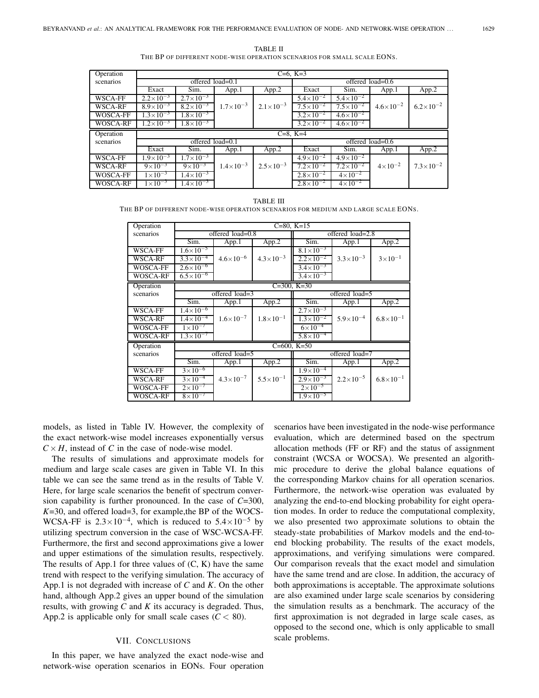TABLE II THE BP OF DIFFERENT NODE-WISE OPERATION SCENARIOS FOR SMALL SCALE EONS.

| Operation       | $C=6$ , $K=3$        |                      |                    |                      |                      |                      |                      |                    |
|-----------------|----------------------|----------------------|--------------------|----------------------|----------------------|----------------------|----------------------|--------------------|
| scenarios       |                      | offered load=0.1     |                    |                      | offered load=0.6     |                      |                      |                    |
|                 | Exact                | Sim.                 | App.1              | App.2                | Exact                | Sim.                 | App.1                | App.2              |
| WSCA-FF         | $2.2\times10^{-3}$   | $2.7\times10^{-3}$   |                    |                      | $5.4\times10^{-2}$   | $5.4\times10^{-2}$   |                      |                    |
| WSCA-RF         | $8.9\times10^{-3}$   | $8.2\times10^{-3}$   | $1.7\times10^{-3}$ | $2.1\times10^{-3}$   | $7.5 \times 10^{-2}$ | $7.5 \times 10^{-2}$ | $4.6 \times 10^{-2}$ | $6.2\times10^{-2}$ |
| WOSCA-FF        | $1.3 \times 10^{-3}$ | $1.8 \times 10^{-3}$ |                    |                      | $3.2\times10^{-2}$   | $4.6 \times 10^{-2}$ |                      |                    |
| <b>WOSCA-RF</b> | $1.2\times10^{-3}$   | $1.8\times10^{-3}$   |                    |                      | $3.2\times10^{-2}$   | $4.6 \times 10^{-2}$ |                      |                    |
|                 |                      |                      |                    |                      |                      |                      |                      |                    |
| Operation       |                      |                      |                    |                      | $C=8, K=4$           |                      |                      |                    |
| scenarios       |                      | offered load=0.1     |                    |                      |                      |                      | offered load=0.6     |                    |
|                 | Exact                | Sim.                 | App.1              | App.2                | Exact                | Sim.                 | App.1                | App.2              |
| WSCA-FF         | $1.9\times10^{-3}$   | $1.7\times10^{-3}$   |                    |                      | $4.9\times10^{-2}$   | $4.9\times10^{-2}$   |                      |                    |
| WSCA-RF         | $9 \times 10^{-3}$   | $9 \times 10^{-3}$   | $1.4\times10^{-3}$ | $2.5 \times 10^{-3}$ | $7.2\times10^{-2}$   | $7.2 \times 10^{-2}$ | $4 \times 10^{-2}$   | $7.3\times10^{-2}$ |
| WOSCA-FF        | $1 \times 10^{-3}$   | $1.4\times10^{-3}$   |                    |                      | $2.8 \times 10^{-2}$ | $4 \times 10^{-2}$   |                      |                    |

## TABLE III THE BP OF DIFFERENT NODE-WISE OPERATION SCENARIOS FOR MEDIUM AND LARGE SCALE EONS.

| Operation       | $C=80, K=15$         |                      |                      |                      |                      |                      |  |
|-----------------|----------------------|----------------------|----------------------|----------------------|----------------------|----------------------|--|
| scenarios       |                      | offered load=0.8     |                      | offered load=2.8     |                      |                      |  |
|                 | Sim.                 | App.1                | App.2                | Sim.                 | App.1                | App.2                |  |
| WSCA-FF         | $1.6\times10^{-5}$   |                      |                      | $8.1\times10^{-3}$   |                      |                      |  |
| WSCA-RF         | $3.3\times10^{-4}$   | $4.6 \times 10^{-6}$ | $4.3 \times 10^{-3}$ | $2.2\times10^{-2}$   | $3.3 \times 10^{-3}$ | $3 \times 10^{-1}$   |  |
| WOSCA-FF        | $2.6 \times 10^{-6}$ |                      |                      | $3.4 \times 10^{-3}$ |                      |                      |  |
| <b>WOSCA-RF</b> | $6.5 \times 10^{-6}$ |                      |                      | $3.4\times10^{-3}$   |                      |                      |  |
| Operation       |                      |                      |                      | $C=300, K=30$        |                      |                      |  |
| scenarios       |                      | offered load=3       |                      |                      | offered load=5       |                      |  |
|                 | Sim.                 | App.1                | App.2                | Sim.                 | App.1                | App.2                |  |
| WSCA-FF         | $1.4\times10^{-6}$   |                      |                      | $2.7\times10^{-3}$   |                      |                      |  |
| WSCA-RF         | $1.4\times10^{-4}$   | $1.6\times10^{-7}$   | $1.8 \times 10^{-1}$ | $1.3 \times 10^{-2}$ | $5.9 \times 10^{-4}$ | $6.8 \times 10^{-1}$ |  |
| WOSCA-FF        | $1 \times 10^{-7}$   |                      |                      | $6 \times 10^{-4}$   |                      |                      |  |
| WOSCA-RF        | $1.3\times10^{-7}$   |                      |                      | $5.8\times10^{-4}$   |                      |                      |  |
| Operation       |                      |                      |                      | $C=600$ , $K=50$     |                      |                      |  |
| scenarios       |                      | offered load=5       |                      | offered load=7       |                      |                      |  |
|                 | Sim.                 | App.1                | App.2                | Sim.                 | App.1                | App.2                |  |
| WSCA-FF         | $3\times10^{-6}$     |                      |                      | $1.9\times10^{-4}$   |                      |                      |  |
| WSCA-RF         | $3 \times 10^{-4}$   | $4.3 \times 10^{-7}$ | $5.5 \times 10^{-1}$ | $2.9\times10^{-3}$   | $2.2 \times 10^{-5}$ | $6.8\times10^{-1}$   |  |
| WOSCA-FF        | $2 \times 10^{-7}$   |                      |                      | $2\times10^{-5}$     |                      |                      |  |
| WOSCA-RF        | $8\times10^{-7}$     |                      |                      | $1.9\times10^{-5}$   |                      |                      |  |

models, as listed in Table IV. However, the complexity of the exact network-wise model increases exponentially versus  $C \times H$ , instead of *C* in the case of node-wise model.

The results of simulations and approximate models for medium and large scale cases are given in Table VI. In this table we can see the same trend as in the results of Table V. Here, for large scale scenarios the benefit of spectrum conversion capability is further pronounced. In the case of *C*=300, *K*=30, and offered load=3, for example,the BP of the WOCS-WCSA-FF is  $2.3 \times 10^{-4}$ , which is reduced to  $5.4 \times 10^{-5}$  by utilizing spectrum conversion in the case of WSC-WCSA-FF. Furthermore, the first and second approximations give a lower and upper estimations of the simulation results, respectively. The results of App.1 for three values of  $(C, K)$  have the same trend with respect to the verifying simulation. The accuracy of App.1 is not degraded with increase of *C* and *K*. On the other hand, although App.2 gives an upper bound of the simulation results, with growing *C* and *K* its accuracy is degraded. Thus, App.2 is applicable only for small scale cases  $(C < 80)$ .

# VII. CONCLUSIONS

In this paper, we have analyzed the exact node-wise and network-wise operation scenarios in EONs. Four operation scenarios have been investigated in the node-wise performance evaluation, which are determined based on the spectrum allocation methods (FF or RF) and the status of assignment constraint (WCSA or WOCSA). We presented an algorithmic procedure to derive the global balance equations of the corresponding Markov chains for all operation scenarios. Furthermore, the network-wise operation was evaluated by analyzing the end-to-end blocking probability for eight operation modes. In order to reduce the computational complexity, we also presented two approximate solutions to obtain the steady-state probabilities of Markov models and the end-toend blocking probability. The results of the exact models, approximations, and verifying simulations were compared. Our comparison reveals that the exact model and simulation have the same trend and are close. In addition, the accuracy of both approximations is acceptable. The approximate solutions are also examined under large scale scenarios by considering the simulation results as a benchmark. The accuracy of the first approximation is not degraded in large scale cases, as opposed to the second one, which is only applicable to small scale problems.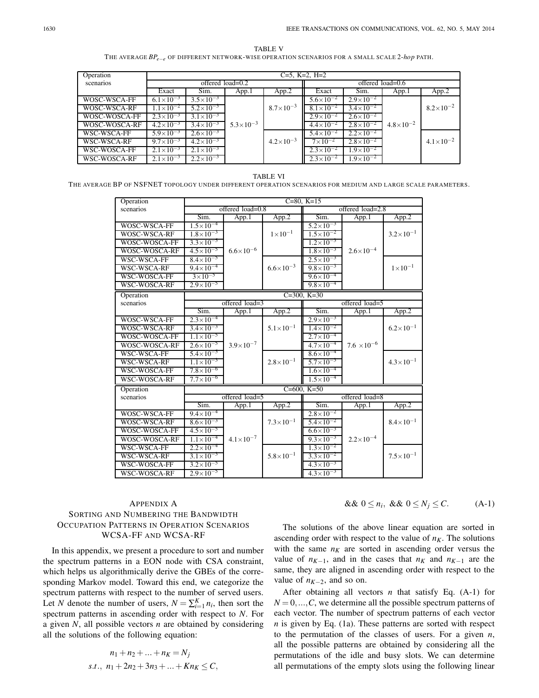TABLE V THE AVERAGE *BPe*−*<sup>e</sup>* OF DIFFERENT NETWORK-WISE OPERATION SCENARIOS FOR A SMALL SCALE 2-*hop* PATH.

| Operation     |                    | $C=5$ , $K=2$ , $H=2$ |                    |                    |                    |                      |                    |                      |
|---------------|--------------------|-----------------------|--------------------|--------------------|--------------------|----------------------|--------------------|----------------------|
| scenarios     |                    | offered load= $0.2$   |                    |                    |                    |                      | offered load=0.6   |                      |
|               | Exact              | Sim.                  | App.1              | App.2              | Exact              | Sim.                 | App.1              | App.2                |
| WOSC-WSCA-FF  | $6.1\times10^{-3}$ | $3.5 \times 10^{-3}$  |                    |                    | $5.6\times10^{-2}$ | $2.9\times10^{-2}$   |                    |                      |
| WOSC-WSCA-RF  | $1.1\times10^{-2}$ | $5.2\times10^{-3}$    |                    | $8.7\times10^{-3}$ | $8.1\times10^{-2}$ | $3.4\times10^{-2}$   |                    | $8.2\times10^{-2}$   |
| WOSC-WOSCA-FF | $2.3\times10^{-3}$ | $3.1\times10^{-3}$    |                    |                    | $2.9\times10^{-2}$ | $2.6\times10^{-2}$   |                    |                      |
| WOSC-WOSCA-RF | $4.2\times10^{-3}$ | $3.4\times10^{-3}$    | $5.3\times10^{-3}$ |                    | $4.4\times10^{-2}$ | $2.8\times10^{-2}$   | $4.8\times10^{-2}$ |                      |
| WSC-WSCA-FF   | $5.9\times10^{-3}$ | $2.6 \times 10^{-3}$  |                    |                    | $5.4\times10^{-2}$ | $2.2\times10^{-2}$   |                    |                      |
| WSC-WSCA-RF   | $9.7\times10^{-3}$ | $4.2\times10^{-3}$    |                    | $4.2\times10^{-3}$ | $7 \times 10^{-2}$ | $2.8\times10^{-2}$   |                    | $4.1 \times 10^{-2}$ |
| WSC-WOSCA-FF  | $2.1\times10^{-3}$ | $2.1\times10^{-3}$    |                    |                    | $2.3\times10^{-2}$ | $1.9\times10^{-2}$   |                    |                      |
| WSC-WOSCA-RF  | $2.1\times10^{-3}$ | $2.2\times10^{-3}$    |                    |                    | $2.3\times10^{-2}$ | $1.9 \times 10^{-2}$ |                    |                      |

#### TABLE VI

THE AVERAGE BP OF NSFNET TOPOLOGY UNDER DIFFERENT OPERATION SCENARIOS FOR MEDIUM AND LARGE SCALE PARAMETERS.

| Operation     | $C=80, K=15$                    |                      |                      |                                 |                      |                      |
|---------------|---------------------------------|----------------------|----------------------|---------------------------------|----------------------|----------------------|
| scenarios     | offered load=0.8                |                      |                      |                                 | offered load=2.8     |                      |
|               | Sim.                            | App.1                | App.2                | Sim.                            | App.1                | App.2                |
| WOSC-WSCA-FF  | $1.5 \times 10^{-4}$            |                      |                      | $5.2 \times 10^{-3}$            |                      |                      |
| WOSC-WSCA-RF  | $1.8 \times 10^{-3}$            |                      | $1 \times 10^{-1}$   | $1.5 \times 10^{-2}$            |                      | $3.2 \times 10^{-1}$ |
| WOSC-WOSCA-FF | $3.3 \times 10^{-5}$            |                      |                      | $1.2 \times 10^{-3}$            |                      |                      |
| WOSC-WOSCA-RF | $4.5 \times 10^{-5}$            | $6.6 \times 10^{-6}$ |                      | $1.8\times10^{-3}$              | $2.6 \times 10^{-4}$ |                      |
| WSC-WSCA-FF   | $8.4 \times 10^{-5}$            |                      |                      | $2.5 \times 10^{-3}$            |                      |                      |
| WSC-WSCA-RF   | $9.4\times10^{-4}$              |                      | $6.6 \times 10^{-3}$ | $9.8 \times 10^{-3}$            |                      | $1 \times 10^{-1}$   |
| WSC-WOSCA-FF  | $3 \times 10^{-5}$              |                      |                      | $9.6 \times 10^{-4}$            |                      |                      |
| WSC-WOSCA-RF  | $2.9\times10^{-5}$              |                      |                      | $9.8 \times 10^{-4}$            |                      |                      |
| Operation     |                                 |                      |                      | $C=300, K=30$                   |                      |                      |
| scenarios     |                                 | offered load=3       |                      |                                 | offered load=5       |                      |
|               | Sim.                            | App.1                | App.2                | Sim.                            | App.1                | App.2                |
| WOSC-WSCA-FF  | $2.3 \times 10^{-4}$            |                      |                      | $2.9\times10^{-3}$              |                      |                      |
| WOSC-WSCA-RF  | $3.4\times10^{-3}$              |                      | $5.1\times10^{-1}$   | $1.4 \times 10^{-2}$            |                      | $6.2 \times 10^{-1}$ |
| WOSC-WOSCA-FF | $1.1 \times 10^{-5}$            |                      |                      | $2.7\times10^{-4}$              |                      |                      |
| WOSC-WOSCA-RF | $2.6 \times 10^{-5}$            | $3.9\times10^{-7}$   |                      | $4.7\times10^{-4}$              | $7.6 \times 10^{-6}$ |                      |
| WSC-WSCA-FF   | $5.4 \times 10^{-5}$            |                      |                      | $8.6 \times 10^{-4}$            |                      |                      |
| WSC-WSCA-RF   | $1.1 \times 10^{-3}$            |                      | $2.8\times10^{-1}$   | $5.7 \times 10^{-3}$            |                      | $4.3 \times 10^{-1}$ |
| WSC-WOSCA-FF  | $7.8 \times 10^{-6}$            |                      |                      | $1.6 \times 10^{-4}$            |                      |                      |
| WSC-WOSCA-RF  | $7.7\times10^{-6}$              |                      |                      | $1.5 \times 10^{-4}$            |                      |                      |
| Operation     |                                 |                      |                      | $C=600, K=50$                   |                      |                      |
| scenarios     |                                 | offered load=5       |                      |                                 | offered load=8       |                      |
|               | Sim.                            | App.1                | App.2                | Sim.                            | App.1                | App.2                |
| WOSC-WSCA-FF  | $9.4 \times 10^{-4}$            |                      |                      | $2.8 \times 10^{-2}$            |                      |                      |
| WOSC-WSCA-RF  | $8.6\times10^{-3}$              |                      | $7.3 \times 10^{-1}$ | $5.4 \times \overline{10^{-2}}$ |                      | $8.4 \times 10^{-1}$ |
| WOSC-WOSCA-FF | $4.5 \times 10^{-5}$            |                      |                      | $6.6 \times 10^{-3}$            |                      |                      |
| WOSC-WOSCA-RF | $1.1 \times 10^{-4}$            | $4.1 \times 10^{-7}$ |                      | $9.3 \times 10^{-3}$            | $2.2\times10^{-4}$   |                      |
| WSC-WSCA-FF   | $2.2\times10^{-4}$              |                      |                      | $1.3 \times 10^{-2}$            |                      |                      |
| WSC-WSCA-RF   | $3.1 \times \overline{10^{-3}}$ |                      | $5.8\times10^{-1}$   | $3.3 \times 10^{-2}$            |                      | $7.5 \times 10^{-1}$ |
| WSC-WOSCA-FF  | $3.2 \times 10^{-5}$            |                      |                      | $4.3 \times 10^{-3}$            |                      |                      |
| WSC-WOSCA-RF  | $2.9 \times 10^{-5}$            |                      |                      | $4.3 \times 10^{-3}$            |                      |                      |

# APPENDIX A SORTING AND NUMBERING THE BANDWIDTH OCCUPATION PATTERNS IN OPERATION SCENARIOS WCSA-FF AND WCSA-RF

In this appendix, we present a procedure to sort and number the spectrum patterns in a EON node with CSA constraint, which helps us algorithmically derive the GBEs of the corresponding Markov model. Toward this end, we categorize the spectrum patterns with respect to the number of served users. Let *N* denote the number of users,  $N = \sum_{i=1}^{K} n_i$ , then sort the spectrum patterns in ascending order with respect to *N*. For a given *N*, all possible vectors *n* are obtained by considering all the solutions of the following equation:

$$
n_1 + n_2 + \dots + n_K = N_j
$$
  
s.t.,  $n_1 + 2n_2 + 3n_3 + \dots + Kn_K \leq C$ ,

$$
\&\& 0 \le n_i, \&\& 0 \le N_j \le C. \tag{A-1}
$$

The solutions of the above linear equation are sorted in ascending order with respect to the value of  $n_K$ . The solutions with the same  $n_K$  are sorted in ascending order versus the value of  $n_{K-1}$ , and in the cases that  $n_K$  and  $n_{K-1}$  are the same, they are aligned in ascending order with respect to the value of  $n_{K-2}$ , and so on.

After obtaining all vectors *n* that satisfy Eq. (A-1) for  $N = 0, \ldots, C$ , we determine all the possible spectrum patterns of each vector. The number of spectrum patterns of each vector *n* is given by Eq. (1a). These patterns are sorted with respect to the permutation of the classes of users. For a given *n*, all the possible patterns are obtained by considering all the permutations of the idle and busy slots. We can determine all permutations of the empty slots using the following linear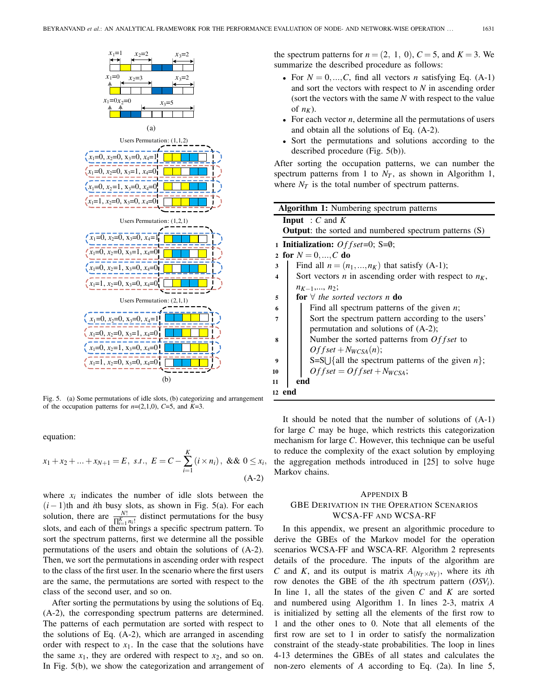

Fig. 5. (a) Some permutations of idle slots, (b) categorizing and arrangement of the occupation patterns for  $n=(2,1,0)$ ,  $C=5$ , and  $K=3$ .

equation:

$$
x_1 + x_2 + \dots + x_{N+1} = E, \, s.t., \, E = C - \sum_{i=1}^{K} (i \times n_i), \, \&\& 0 \le x_i,
$$
\n(A-2)

where  $x_i$  indicates the number of idle slots between the  $(i-1)$ th and *i*th busy slots, as shown in Fig. 5(a). For each solution, there are  $\frac{N!}{\prod_{i=1}^K n_i!}$  distinct permutations for the busy slots, and each of them brings a specific spectrum pattern. To sort the spectrum patterns, first we determine all the possible permutations of the users and obtain the solutions of (A-2). Then, we sort the permutations in ascending order with respect to the class of the first user. In the scenario where the first users are the same, the permutations are sorted with respect to the class of the second user, and so on.

After sorting the permutations by using the solutions of Eq. (A-2), the corresponding spectrum patterns are determined. The patterns of each permutation are sorted with respect to the solutions of Eq. (A-2), which are arranged in ascending order with respect to  $x_1$ . In the case that the solutions have the same  $x_1$ , they are ordered with respect to  $x_2$ , and so on. In Fig. 5(b), we show the categorization and arrangement of the spectrum patterns for  $n = (2, 1, 0)$ ,  $C = 5$ , and  $K = 3$ . We summarize the described procedure as follows:

- For  $N = 0, \ldots, C$ , find all vectors *n* satisfying Eq. (A-1) and sort the vectors with respect to *N* in ascending order (sort the vectors with the same *N* with respect to the value of  $n_K$ ).
- For each vector *n*, determine all the permutations of users and obtain all the solutions of Eq. (A-2).
- Sort the permutations and solutions according to the described procedure (Fig. 5(b)).

After sorting the occupation patterns, we can number the spectrum patterns from 1 to  $N_T$ , as shown in Algorithm 1, where  $N_T$  is the total number of spectrum patterns.

| Algorithm 1: Numbering spectrum patterns                              |  |  |  |  |  |
|-----------------------------------------------------------------------|--|--|--|--|--|
| <b>Input</b> : C and K                                                |  |  |  |  |  |
| <b>Output</b> : the sorted and numbered spectrum patterns $(S)$       |  |  |  |  |  |
| 1 Initialization: $Offset = 0$ ; S=0;                                 |  |  |  |  |  |
| for $N = 0, , C$ do<br>$\overline{2}$                                 |  |  |  |  |  |
| Find all $n = (n_1, , n_K)$ that satisfy (A-1);<br>3                  |  |  |  |  |  |
| Sort vectors <i>n</i> in ascending order with respect to $n_K$ ,<br>4 |  |  |  |  |  |
| $n_{K-1},, n_2;$                                                      |  |  |  |  |  |
| <b>for</b> $\forall$ the sorted vectors n <b>do</b><br>5              |  |  |  |  |  |
| Find all spectrum patterns of the given $n$ ;<br>6                    |  |  |  |  |  |
| Sort the spectrum pattern according to the users'<br>7                |  |  |  |  |  |
| permutation and solutions of (A-2);                                   |  |  |  |  |  |
| Number the sorted patterns from Offset to<br>8                        |  |  |  |  |  |
| $Offset + N_{WCSA}(n);$                                               |  |  |  |  |  |
| S=SU{all the spectrum patterns of the given $n$ };<br>9               |  |  |  |  |  |
| $Offset = Offset + N_{WCSA};$<br>10                                   |  |  |  |  |  |
| end<br>11                                                             |  |  |  |  |  |
| 12 end                                                                |  |  |  |  |  |
|                                                                       |  |  |  |  |  |

It should be noted that the number of solutions of (A-1) for large *C* may be huge, which restricts this categorization mechanism for large *C*. However, this technique can be useful to reduce the complexity of the exact solution by employing the aggregation methods introduced in [25] to solve huge Markov chains.

## APPENDIX B GBE DERIVATION IN THE OPERATION SCENARIOS WCSA-FF AND WCSA-RF

In this appendix, we present an algorithmic procedure to derive the GBEs of the Markov model for the operation scenarios WCSA-FF and WSCA-RF. Algorithm 2 represents details of the procedure. The inputs of the algorithm are *C* and *K*, and its output is matrix  $A_{(N_T \times N_T)}$ , where its *i*th row denotes the GBE of the *i*th spectrum pattern (*OSVi*). In line 1, all the states of the given *C* and *K* are sorted and numbered using Algorithm 1. In lines 2-3, matrix *A* is initialized by setting all the elements of the first row to 1 and the other ones to 0. Note that all elements of the first row are set to 1 in order to satisfy the normalization constraint of the steady-state probabilities. The loop in lines 4-13 determines the GBEs of all states and calculates the non-zero elements of *A* according to Eq. (2a). In line 5,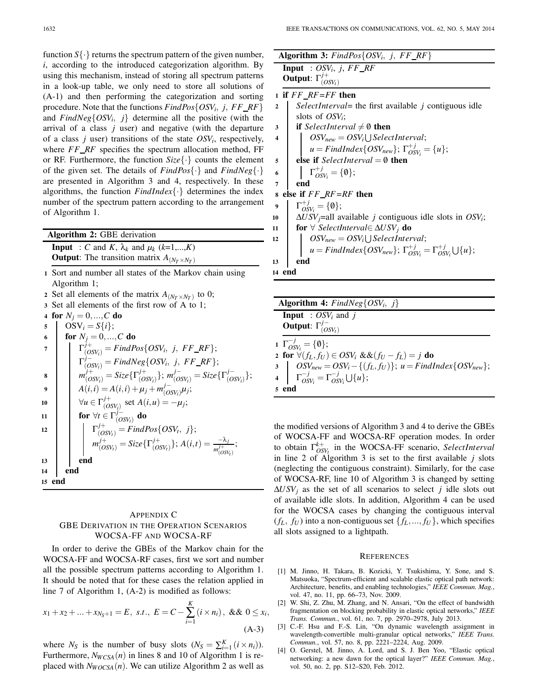function  $S\{\cdot\}$  returns the spectrum pattern of the given number, *i*, according to the introduced categorization algorithm. By using this mechanism, instead of storing all spectrum patterns in a look-up table, we only need to store all solutions of (A-1) and then performing the categorization and sorting procedure. Note that the functions  $FindPos\{OSV_i, j, FF\_RF\}$ and  $FindNeg\{OSV_i, j\}$  determine all the positive (with the arrival of a class *j* user) and negative (with the departure of a class *j* user) transitions of the state *OSVi*, respectively, where *FF\_RF* specifies the spectrum allocation method, FF or RF. Furthermore, the function *Size*{·} counts the element of the given set. The details of *FindPos*{·} and *FindNeg*{·} are presented in Algorithm 3 and 4, respectively. In these algorithms, the function *FindIndex*{·} determines the index number of the spectrum pattern according to the arrangement of Algorithm 1.

| <b>Input</b> : C and K, $\lambda_k$ and $\mu_k$ (k=1,,K)<br><b>Output:</b> The transition matrix $A_{(N_T \times N_T)}$                                                                                                                                     |
|-------------------------------------------------------------------------------------------------------------------------------------------------------------------------------------------------------------------------------------------------------------|
|                                                                                                                                                                                                                                                             |
|                                                                                                                                                                                                                                                             |
| 1 Sort and number all states of the Markov chain using                                                                                                                                                                                                      |
| Algorithm 1;                                                                                                                                                                                                                                                |
| Set all elements of the matrix $A_{(N_T \times N_T)}$ to 0;                                                                                                                                                                                                 |
| Set all elements of the first row of A to 1;                                                                                                                                                                                                                |
| for $N_i = 0, , C$ do<br>4                                                                                                                                                                                                                                  |
| $OSV_i = S\{i\};$<br>5                                                                                                                                                                                                                                      |
| for $N_j = 0, , C$ do<br>6                                                                                                                                                                                                                                  |
| 7                                                                                                                                                                                                                                                           |
|                                                                                                                                                                                                                                                             |
| $\begin{array}{l} \Gamma_{(OSV_i)}^{j+} = FindPos\{OSV_i, ~j, ~FF\_RF\}; \\ \Gamma_{(OSV_i)}^{j-} = FindNeg\{OSV_i, ~j, ~FF\_RF\}; \\ m_{(OSV_i)}^{j+} = Size\{\Gamma_{(OSV_i)}^{j+}\};~m_{(OSV_i)}^{j-} = Size\{\Gamma_{(OSV_i)}^{j-}\}; \end{array}$<br>8 |
| $A(i,i) = A(i,i) + \mu_j + m_{(OSV_i)}^{J^-} \mu_j;$<br>9                                                                                                                                                                                                   |
| $\forall u \in \Gamma^{j+}_{(OSV_i)}$ set $A(i, u) = -\mu_j;$<br>10                                                                                                                                                                                         |
| for $\forall t \in \Gamma_{(OSV_i)}^{J^-}$ do<br>11                                                                                                                                                                                                         |
| $\Gamma_{(OSV_t)}^{J^+} = FindPos\{OSV_t, j\};$<br>12                                                                                                                                                                                                       |
| $m_{(OSV_t)}^{j+} = Size\{\Gamma_{(OSV_t)}^{j+}\}; A(i,t) = \frac{-\lambda_j}{m_{(OSV_t)}^{j+}};$                                                                                                                                                           |
| end<br>13                                                                                                                                                                                                                                                   |
| end<br>14                                                                                                                                                                                                                                                   |
| 15 end                                                                                                                                                                                                                                                      |

# APPENDIX C GBE DERIVATION IN THE OPERATION SCENARIOS WOCSA-FF AND WOCSA-RF

In order to derive the GBEs of the Markov chain for the WOCSA-FF and WOCSA-RF cases, first we sort and number all the possible spectrum patterns according to Algorithm 1. It should be noted that for these cases the relation applied in line 7 of Algorithm 1, (A-2) is modified as follows:

$$
x_1 + x_2 + \dots + x_{N_S+1} = E, \, s.t., \, E = C - \sum_{i=1}^K (i \times n_i), \, \&\& 0 \le x_i,
$$
\n(A-3)

where *N<sub>S</sub>* is the number of busy slots  $(N_S = \sum_{i=1}^K (i \times n_i)).$ Furthermore,  $N_{WCSA}(n)$  in lines 8 and 10 of Algorithm 1 is replaced with  $N_{WOCSA}(n)$ . We can utilize Algorithm 2 as well as

**Algorithm 3:** *FindPos*{*OSVi, j, FF RF*} **Input** :  $OSV_i$ , *j*,  $FF\_RF$ **Output**:  $\Gamma^{j+}_{(OSV_t)}$ **<sup>1</sup> if** *FF RF=FF* **then <sup>2</sup>** *SelectInterval*= the first available *j* contiguous idle slots of *OSVi*; **3 if** *SelectInterval*  $\neq$ **0 then**  $\begin{array}{c|c} \n\text{4} & \text{OSV}_{new} = OSV_i \cup SelectInterval; \n\end{array}$  $u = FindIndex\{OSV_{new}\};\ \Gamma_{OSV_i}^{+j} = \{u\};$  $\mathbf{5}$  **else if** *SelectInterval* =  $\mathbf{0}$  **then 6**  $\Gamma_{OSV_i}^{+j} = \{\emptyset\};$ **<sup>7</sup> end <sup>8</sup> else if** *FF RF=RF* **then 9**  $\Gamma_{OSV_i}^{+j} = \{\emptyset\};$ **10**  $\Delta USV_j =$ all available *j* contiguous idle slots in *OSV<sub>i</sub>*; **11 for**  $\forall$  *SelectInterval* $\in \Delta USV_i$  **do** 12 *OSV<sub>new</sub>* =  $OSV_i \cup SelectInterval;$  $u = FindIndex\{OSV_{new}\};\ \Gamma_{OSV_i}^{+j} = \Gamma_{OSV_i}^{+j} \cup \{u\};$ **13 end 14 end**

| <b>Algorithm 4:</b> FindNeg $\{OSV_i, j\}$                                                                                                                           |
|----------------------------------------------------------------------------------------------------------------------------------------------------------------------|
|                                                                                                                                                                      |
| <b>Input</b> : $OSV_i$ and <i>j</i><br><b>Output</b> : $\Gamma_{(OSV_t)}^{j-}$                                                                                       |
| 1 $\Gamma_{OSV_i}^{-j} = \{\emptyset\};$                                                                                                                             |
| 2 for $\forall (f_L, f_U) \in OSV_i$ && $(f_U - f_L) = j$ do                                                                                                         |
|                                                                                                                                                                      |
| $\begin{array}{ll}\n3 & OSV_{new} = OSV_i - \{(f_L, f_U)\}; \ u = FindIndex\{OSV_{new}\}; \\ 4 & \Gamma_{OSV_i}^{-j} = \Gamma_{OSV_i}^{-j} \cup \{u\};\n\end{array}$ |
| 5 end                                                                                                                                                                |

the modified versions of Algorithm 3 and 4 to derive the GBEs of WOCSA-FF and WOCSA-RF operation modes. In order to obtain  $\Gamma_{OSV_t}^{k+}$  in the WOCSA-FF scenario, *SelectInterval* in line 2 of Algorithm 3 is set to the first available *j* slots (neglecting the contiguous constraint). Similarly, for the case of WOCSA-RF, line 10 of Algorithm 3 is changed by setting  $\Delta USV_i$  as the set of all scenarios to select *j* idle slots out of available idle slots. In addition, Algorithm 4 can be used for the WOCSA cases by changing the contiguous interval  $(f_L, f_U)$  into a non-contiguous set  $\{f_L, ..., f_U\}$ , which specifies all slots assigned to a lightpath.

#### **REFERENCES**

- [1] M. Jinno, H. Takara, B. Kozicki, Y. Tsukishima, Y. Sone, and S. Matsuoka, "Spectrum-efficient and scalable elastic optical path network: Architecture, benefits, and enabling technologies," *IEEE Commun. Mag.*, vol. 47, no. 11, pp. 66–73, Nov. 2009.
- [2] W. Shi, Z. Zhu, M. Zhang, and N. Ansari, "On the effect of bandwidth fragmentation on blocking probability in elastic optical networks," *IEEE Trans. Commun.*, vol. 61, no. 7, pp. 2970–2978, July 2013.
- [3] C.-F. Hsu and F.-S. Lin, "On dynamic wavelength assignment in wavelength-convertible multi-granular optical networks," *IEEE Trans. Commun.*, vol. 57, no. 8, pp. 2221–2224, Aug. 2009.
- [4] O. Gerstel, M. Jinno, A. Lord, and S. J. Ben Yoo, "Elastic optical networking: a new dawn for the optical layer?" *IEEE Commun. Mag.*, vol. 50, no. 2, pp. S12–S20, Feb. 2012.